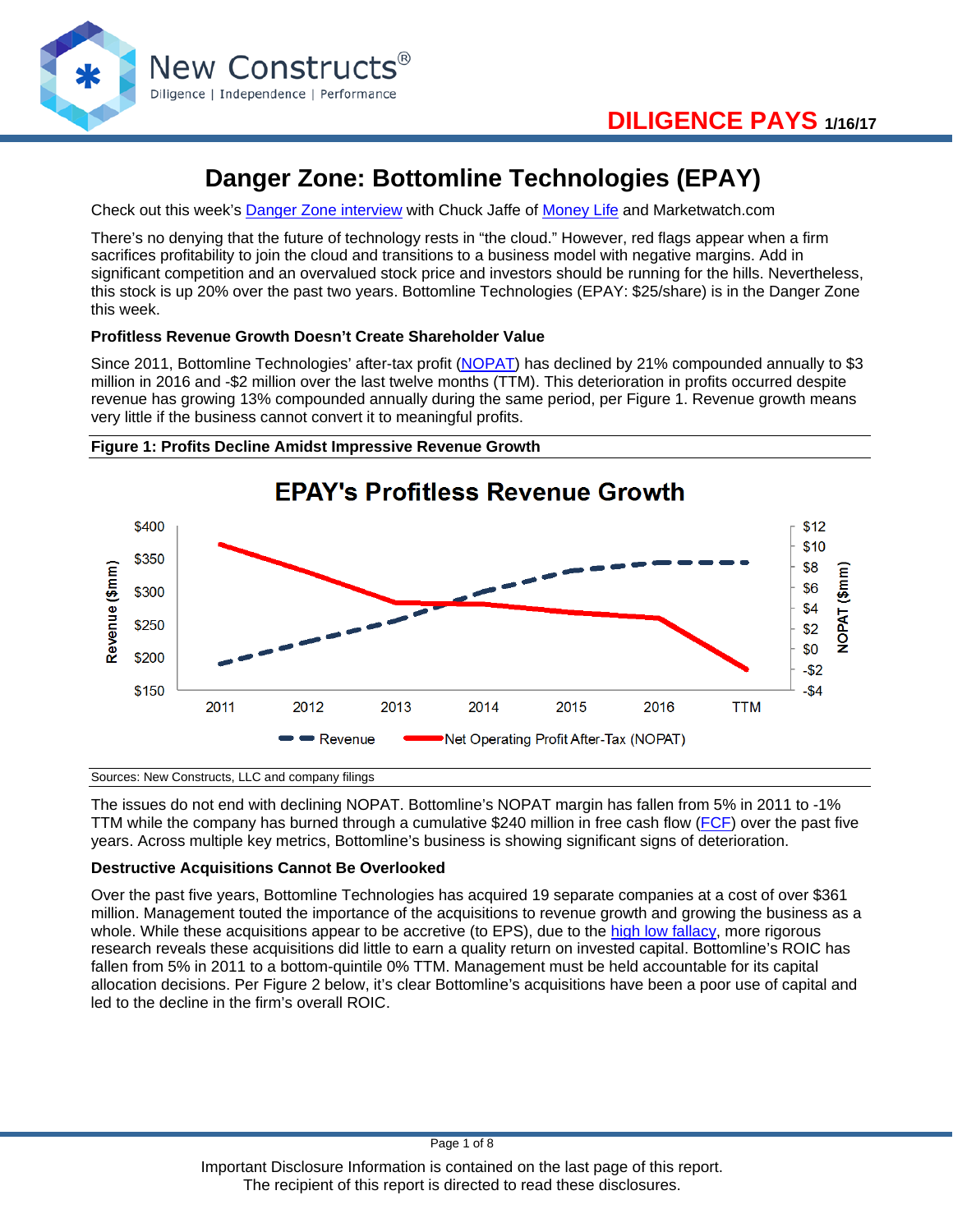

# **Danger Zone: Bottomline Technologies (EPAY)**

Check out this week's [Danger Zone interview](http://moneylifeshow.com/SaveFiles1/Upload_Files/170116%20-%20Danger%20Zone.mp3) with Chuck Jaffe of [Money Life](http://www.moneylifeshow.com/) and Marketwatch.com

There's no denying that the future of technology rests in "the cloud." However, red flags appear when a firm sacrifices profitability to join the cloud and transitions to a business model with negative margins. Add in significant competition and an overvalued stock price and investors should be running for the hills. Nevertheless, this stock is up 20% over the past two years. Bottomline Technologies (EPAY: \$25/share) is in the Danger Zone this week.

# **Profitless Revenue Growth Doesn't Create Shareholder Value**

Since 2011, Bottomline Technologies' after-tax profit [\(NOPAT\)](https://www.newconstructs.com/education-net-operating-profit/) has declined by 21% compounded annually to \$3 million in 2016 and -\$2 million over the last twelve months (TTM). This deterioration in profits occurred despite revenue has growing 13% compounded annually during the same period, per Figure 1. Revenue growth means very little if the business cannot convert it to meaningful profits.





Sources: New Constructs, LLC and company filings

The issues do not end with declining NOPAT. Bottomline's NOPAT margin has fallen from 5% in 2011 to -1% TTM while the company has burned through a cumulative \$240 million in free cash flow [\(FCF\)](https://www.newconstructs.com/education-free-cash-flow/) over the past five years. Across multiple key metrics, Bottomline's business is showing significant signs of deterioration.

# **Destructive Acquisitions Cannot Be Overlooked**

Over the past five years, Bottomline Technologies has acquired 19 separate companies at a cost of over \$361 million. Management touted the importance of the acquisitions to revenue growth and growing the business as a whole. While these acquisitions appear to be accretive (to EPS), due to the [high low fallacy,](https://www.newconstructs.com/the-high-low-fallacy-dont-believe-the-merger-hype/) more rigorous research reveals these acquisitions did little to earn a quality return on invested capital. Bottomline's ROIC has fallen from 5% in 2011 to a bottom-quintile 0% TTM. Management must be held accountable for its capital allocation decisions. Per Figure 2 below, it's clear Bottomline's acquisitions have been a poor use of capital and led to the decline in the firm's overall ROIC.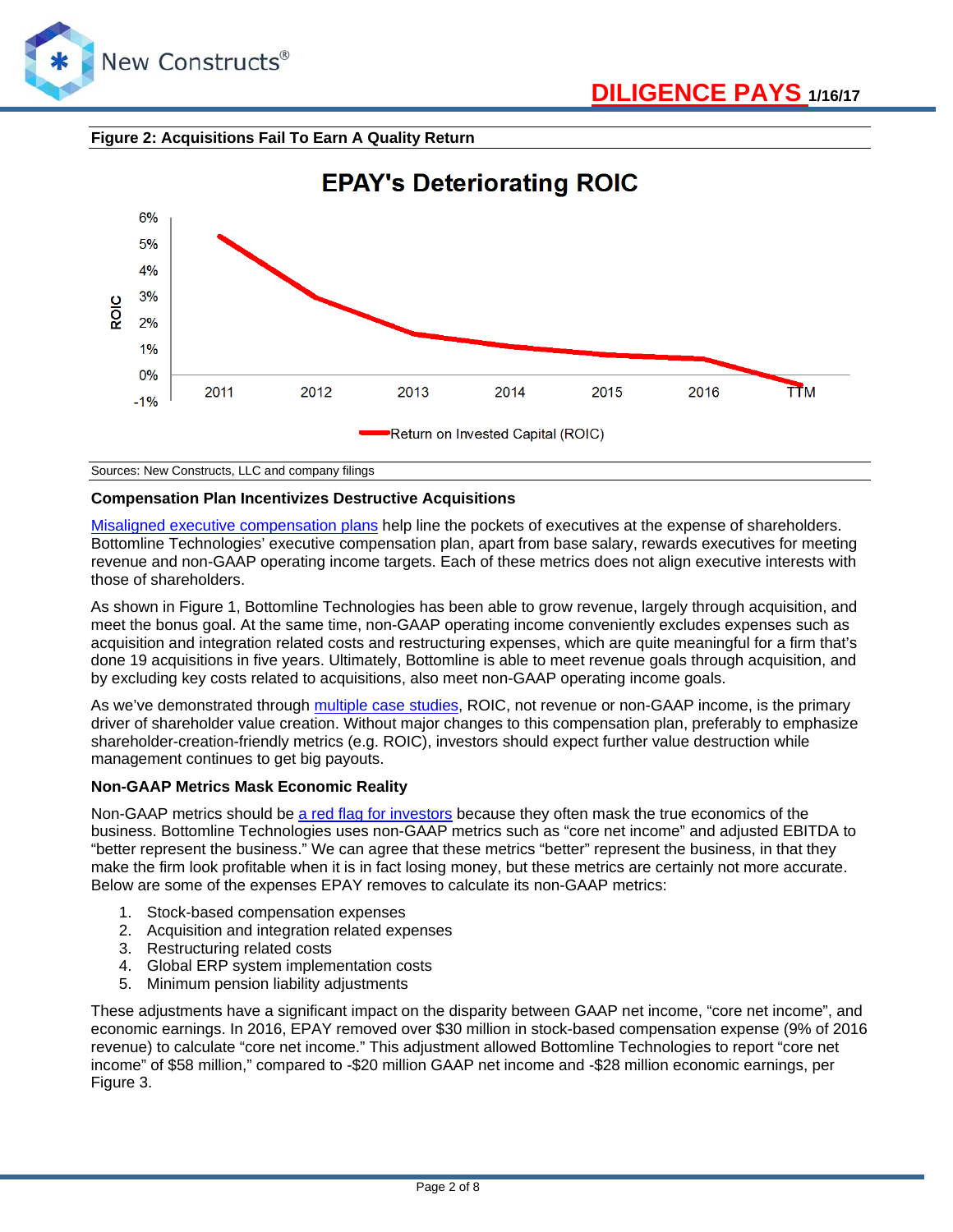





Sources: New Constructs, LLC and company filings

# **Compensation Plan Incentivizes Destructive Acquisitions**

[Misaligned executive compensation plans](https://www.newconstructs.com/case-study-shareholder-risks-misaligned-executive-compensation/) help line the pockets of executives at the expense of shareholders. Bottomline Technologies' executive compensation plan, apart from base salary, rewards executives for meeting revenue and non-GAAP operating income targets. Each of these metrics does not align executive interests with those of shareholders.

As shown in Figure 1, Bottomline Technologies has been able to grow revenue, largely through acquisition, and meet the bonus goal. At the same time, non-GAAP operating income conveniently excludes expenses such as acquisition and integration related costs and restructuring expenses, which are quite meaningful for a firm that's done 19 acquisitions in five years. Ultimately, Bottomline is able to meet revenue goals through acquisition, and by excluding key costs related to acquisitions, also meet non-GAAP operating income goals.

As we've demonstrated through [multiple case studies,](https://www.newconstructs.com/category/roic-drives-valuation/) ROIC, not revenue or non-GAAP income, is the primary driver of shareholder value creation. Without major changes to this compensation plan, preferably to emphasize shareholder-creation-friendly metrics (e.g. ROIC), investors should expect further value destruction while management continues to get big payouts.

# **Non-GAAP Metrics Mask Economic Reality**

Non-GAAP metrics should be [a red flag for investors](https://www.newconstructs.com/dangers-non-gaap-earnings-2/) because they often mask the true economics of the business. Bottomline Technologies uses non-GAAP metrics such as "core net income" and adjusted EBITDA to "better represent the business." We can agree that these metrics "better" represent the business, in that they make the firm look profitable when it is in fact losing money, but these metrics are certainly not more accurate. Below are some of the expenses EPAY removes to calculate its non-GAAP metrics:

- 1. Stock-based compensation expenses
- 2. Acquisition and integration related expenses
- 3. Restructuring related costs
- 4. Global ERP system implementation costs
- 5. Minimum pension liability adjustments

These adjustments have a significant impact on the disparity between GAAP net income, "core net income", and economic earnings. In 2016, EPAY removed over \$30 million in stock-based compensation expense (9% of 2016 revenue) to calculate "core net income." This adjustment allowed Bottomline Technologies to report "core net income" of \$58 million," compared to -\$20 million GAAP net income and -\$28 million economic earnings, per Figure 3.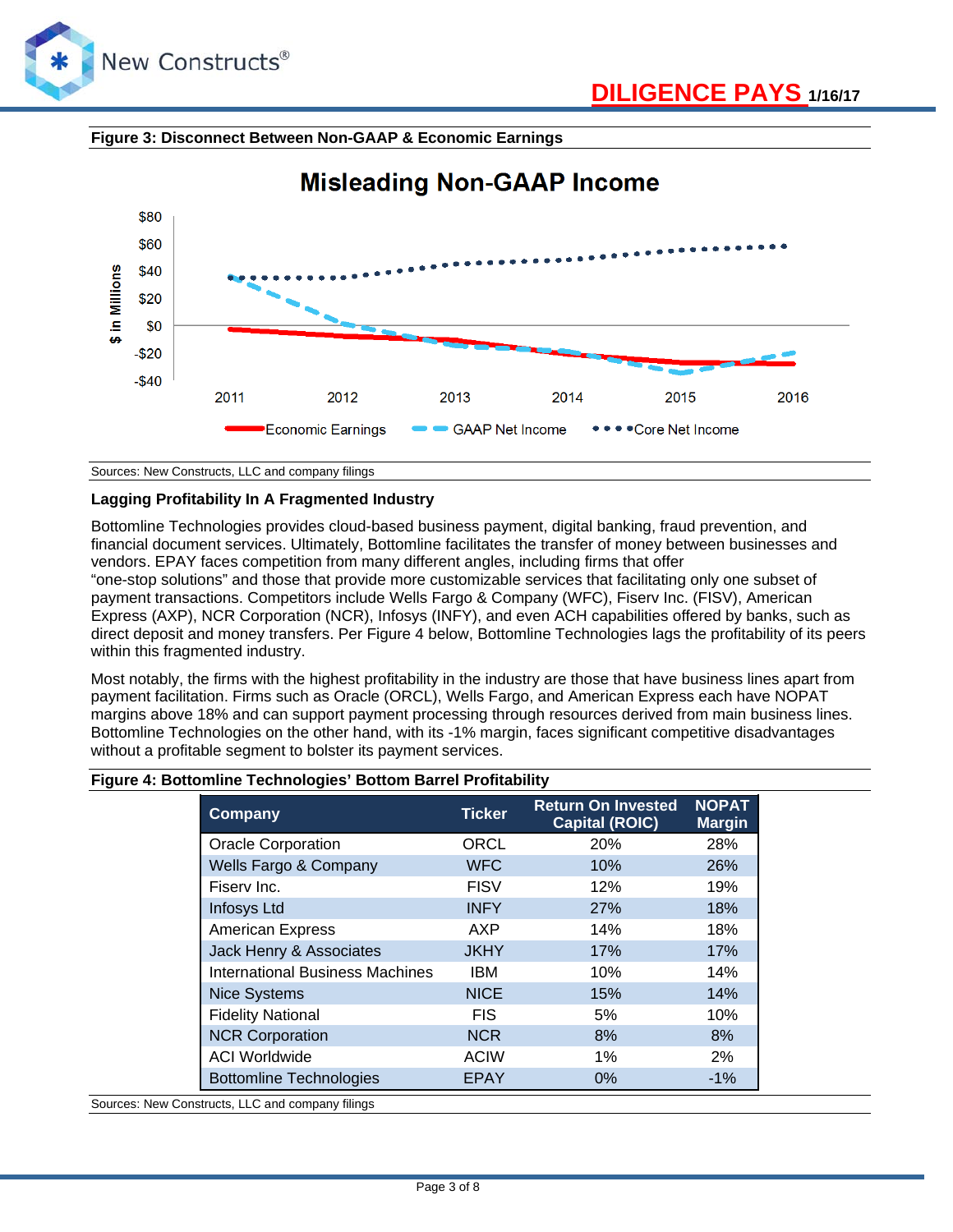

# **Figure 3: Disconnect Between Non-GAAP & Economic Earnings**



# **Misleading Non-GAAP Income**

Sources: New Constructs, LLC and company filings

# **Lagging Profitability In A Fragmented Industry**

Bottomline Technologies provides cloud-based business payment, digital banking, fraud prevention, and financial document services. Ultimately, Bottomline facilitates the transfer of money between businesses and vendors. EPAY faces competition from many different angles, including firms that offer "one-stop solutions" and those that provide more customizable services that facilitating only one subset of payment transactions. Competitors include Wells Fargo & Company (WFC), Fiserv Inc. (FISV), American

Express (AXP), NCR Corporation (NCR), Infosys (INFY), and even ACH capabilities offered by banks, such as direct deposit and money transfers. Per Figure 4 below, Bottomline Technologies lags the profitability of its peers within this fragmented industry.

Most notably, the firms with the highest profitability in the industry are those that have business lines apart from payment facilitation. Firms such as Oracle (ORCL), Wells Fargo, and American Express each have NOPAT margins above 18% and can support payment processing through resources derived from main business lines. Bottomline Technologies on the other hand, with its -1% margin, faces significant competitive disadvantages without a profitable segment to bolster its payment services.

# **Figure 4: Bottomline Technologies' Bottom Barrel Profitability**

| Company                         | <b>Ticker</b> | <b>Return On Invested</b><br><b>Capital (ROIC)</b> | <b>NOPAT</b><br><b>Margin</b> |
|---------------------------------|---------------|----------------------------------------------------|-------------------------------|
| <b>Oracle Corporation</b>       | <b>ORCL</b>   | 20%                                                | 28%                           |
| Wells Fargo & Company           | <b>WFC</b>    | 10%                                                | <b>26%</b>                    |
| Fisery Inc.                     | <b>FISV</b>   | 12%                                                | 19%                           |
| <b>Infosys Ltd</b>              | <b>INFY</b>   | <b>27%</b>                                         | 18%                           |
| <b>American Express</b>         | AXP           | 14%                                                | 18%                           |
| Jack Henry & Associates         | <b>JKHY</b>   | 17%                                                | 17%                           |
| International Business Machines | <b>IBM</b>    | 10%                                                | 14%                           |
| <b>Nice Systems</b>             | <b>NICE</b>   | 15%                                                | 14%                           |
| <b>Fidelity National</b>        | <b>FIS</b>    | 5%                                                 | 10%                           |
| <b>NCR Corporation</b>          | <b>NCR</b>    | 8%                                                 | 8%                            |
| <b>ACI Worldwide</b>            | <b>ACIW</b>   | 1%                                                 | 2%                            |
| <b>Bottomline Technologies</b>  | <b>EPAY</b>   | 0%                                                 | $-1%$                         |

Sources: New Constructs, LLC and company filings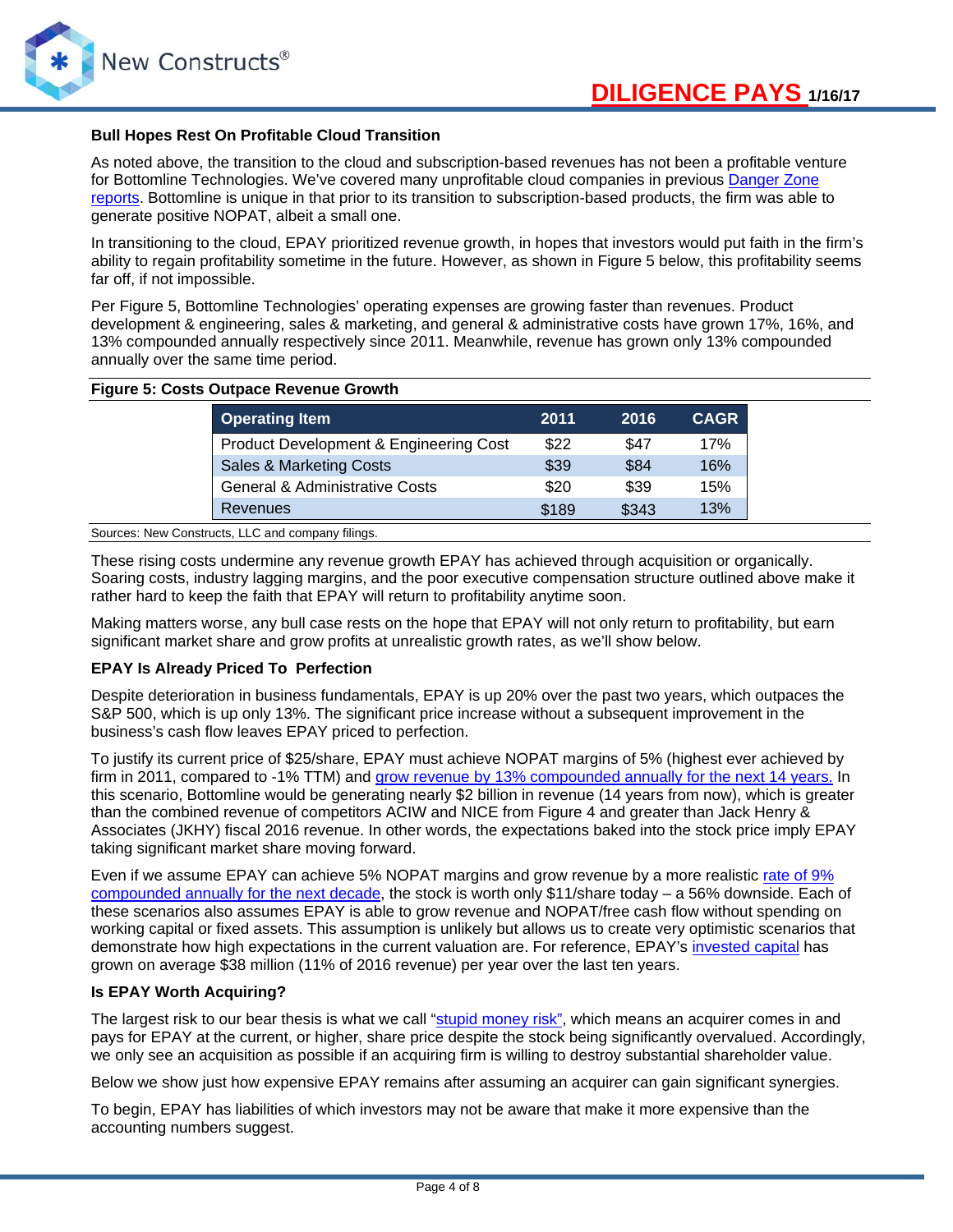

## **Bull Hopes Rest On Profitable Cloud Transition**

As noted above, the transition to the cloud and subscription-based revenues has not been a profitable venture for Bottomline Technologies. We've covered many unprofitable cloud companies in previous [Danger Zone](https://www.newconstructs.com/category/danger-zone/)  [reports.](https://www.newconstructs.com/category/danger-zone/) Bottomline is unique in that prior to its transition to subscription-based products, the firm was able to generate positive NOPAT, albeit a small one.

In transitioning to the cloud, EPAY prioritized revenue growth, in hopes that investors would put faith in the firm's ability to regain profitability sometime in the future. However, as shown in Figure 5 below, this profitability seems far off, if not impossible.

Per Figure 5, Bottomline Technologies' operating expenses are growing faster than revenues. Product development & engineering, sales & marketing, and general & administrative costs have grown 17%, 16%, and 13% compounded annually respectively since 2011. Meanwhile, revenue has grown only 13% compounded annually over the same time period.

#### **Figure 5: Costs Outpace Revenue Growth**

| <b>Operating Item</b>                     | 2011  | 2016  | <b>CAGR</b> |
|-------------------------------------------|-------|-------|-------------|
| Product Development & Engineering Cost    | \$22  | \$47  | 17%         |
| Sales & Marketing Costs                   | \$39  | \$84  | 16%         |
| <b>General &amp; Administrative Costs</b> | \$20  | \$39  | 15%         |
| <b>Revenues</b>                           | \$189 | \$343 | 13%         |

Sources: New Constructs, LLC and company filings.

These rising costs undermine any revenue growth EPAY has achieved through acquisition or organically. Soaring costs, industry lagging margins, and the poor executive compensation structure outlined above make it rather hard to keep the faith that EPAY will return to profitability anytime soon.

Making matters worse, any bull case rests on the hope that EPAY will not only return to profitability, but earn significant market share and grow profits at unrealistic growth rates, as we'll show below.

## **EPAY Is Already Priced To Perfection**

Despite deterioration in business fundamentals, EPAY is up 20% over the past two years, which outpaces the S&P 500, which is up only 13%. The significant price increase without a subsequent improvement in the business's cash flow leaves EPAY priced to perfection.

To justify its current price of \$25/share, EPAY must achieve NOPAT margins of 5% (highest ever achieved by firm in 2011, compared to -1% TTM) and grow revenue [by 13% compounded annually for the next 14](https://www.newconstructs.com/wp-content/uploads/2017/01/NewConstructs_DCF_EPAYjustification_2017-01-16-1.png) years. In this scenario, Bottomline would be generating nearly \$2 billion in revenue (14 years from now), which is greater than the combined revenue of competitors ACIW and NICE from Figure 4 and greater than Jack Henry & Associates (JKHY) fiscal 2016 revenue. In other words, the expectations baked into the stock price imply EPAY taking significant market share moving forward.

Even if we assume EPAY can achieve 5% NOPAT margins and grow revenue by a more realistic [rate of 9%](https://www.newconstructs.com/wp-content/uploads/2017/01/NewConstructs_DCF_EPAYvaluation_2017-01_16.png)  [compounded annually for the next decade,](https://www.newconstructs.com/wp-content/uploads/2017/01/NewConstructs_DCF_EPAYvaluation_2017-01_16.png) the stock is worth only \$11/share today – a 56% downside. Each of these scenarios also assumes EPAY is able to grow revenue and NOPAT/free cash flow without spending on working capital or fixed assets. This assumption is unlikely but allows us to create very optimistic scenarios that demonstrate how high expectations in the current valuation are. For reference, EPAY's [invested capital](https://www.newconstructs.com/education-invested-capital/) has grown on average \$38 million (11% of 2016 revenue) per year over the last ten years.

# **Is EPAY Worth Acquiring?**

The largest risk to our bear thesis is what we call "<u>stupid money risk",</u> which means an acquirer comes in and pays for EPAY at the current, or higher, share price despite the stock being significantly overvalued. Accordingly, we only see an acquisition as possible if an acquiring firm is willing to destroy substantial shareholder value.

Below we show just how expensive EPAY remains after assuming an acquirer can gain significant synergies.

To begin, EPAY has liabilities of which investors may not be aware that make it more expensive than the accounting numbers suggest.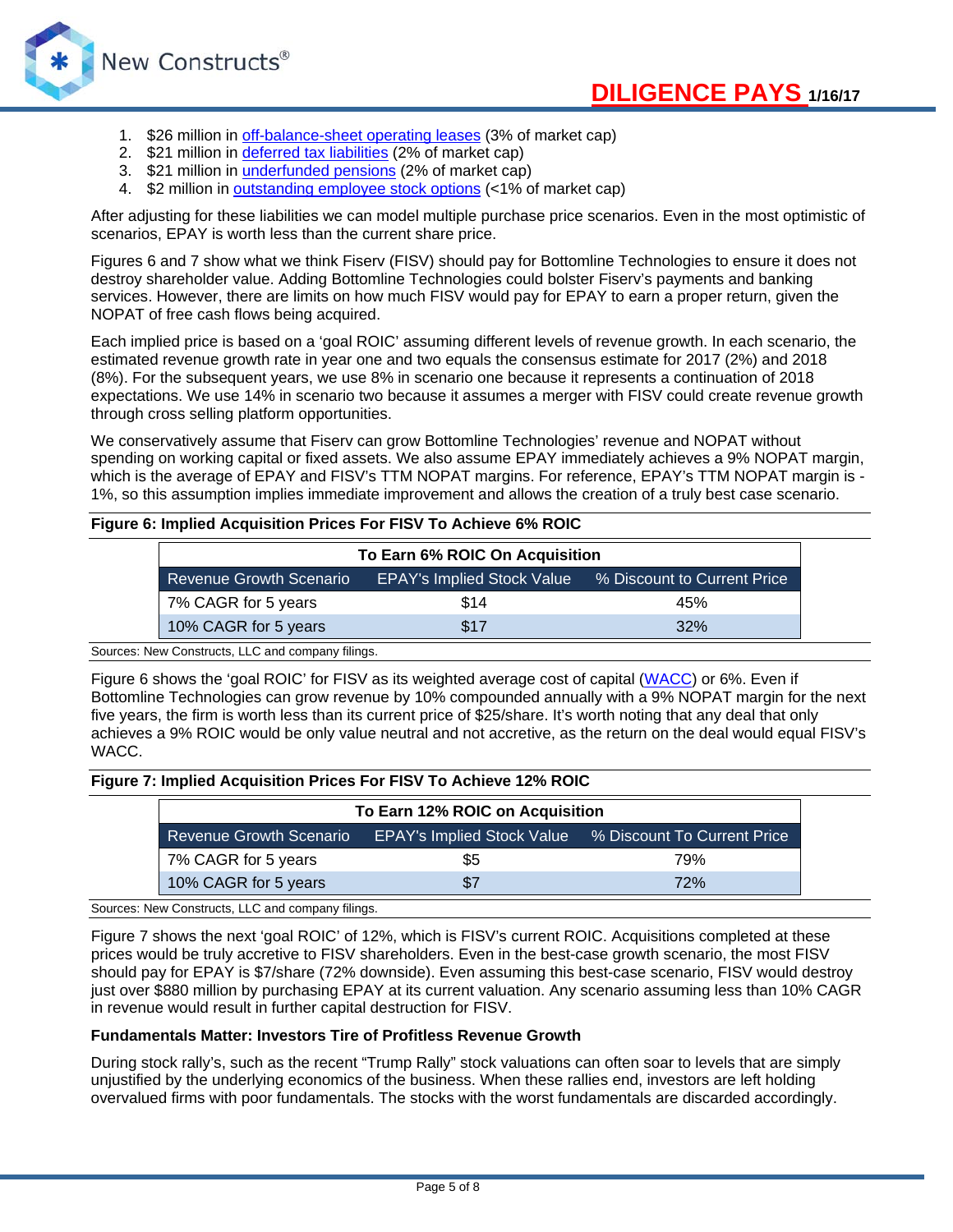

- 1. \$26 million in [off-balance-sheet operating leases](https://www.newconstructs.com/off-balance-sheet-debt/) (3% of market cap)
- 2. \$21 million in [deferred tax liabilities](https://www.newconstructs.com/net-deferred-tax-assets-and-liabilities/) (2% of market cap)
- 3. \$21 million in *underfunded pensions* (2% of market cap)
- 4. \$2 million in [outstanding employee stock options](https://www.newconstructs.com/outstanding-employee-stock-options/) (<1% of market cap)

After adjusting for these liabilities we can model multiple purchase price scenarios. Even in the most optimistic of scenarios, EPAY is worth less than the current share price.

Figures 6 and 7 show what we think Fiserv (FISV) should pay for Bottomline Technologies to ensure it does not destroy shareholder value. Adding Bottomline Technologies could bolster Fiserv's payments and banking services. However, there are limits on how much FISV would pay for EPAY to earn a proper return, given the NOPAT of free cash flows being acquired.

Each implied price is based on a 'goal ROIC' assuming different levels of revenue growth. In each scenario, the estimated revenue growth rate in year one and two equals the consensus estimate for 2017 (2%) and 2018 (8%). For the subsequent years, we use 8% in scenario one because it represents a continuation of 2018 expectations. We use 14% in scenario two because it assumes a merger with FISV could create revenue growth through cross selling platform opportunities.

We conservatively assume that Fiserv can grow Bottomline Technologies' revenue and NOPAT without spending on working capital or fixed assets. We also assume EPAY immediately achieves a 9% NOPAT margin, which is the average of EPAY and FISV's TTM NOPAT margins. For reference, EPAY's TTM NOPAT margin is - 1%, so this assumption implies immediate improvement and allows the creation of a truly best case scenario.

# **Figure 6: Implied Acquisition Prices For FISV To Achieve 6% ROIC**

| To Earn 6% ROIC On Acquisition |                                   |                             |  |
|--------------------------------|-----------------------------------|-----------------------------|--|
| <b>Revenue Growth Scenario</b> | <b>EPAY's Implied Stock Value</b> | % Discount to Current Price |  |
| 7% CAGR for 5 years            | \$14                              | 45%                         |  |
| 10% CAGR for 5 years           | \$17                              | 32%                         |  |

Sources: New Constructs, LLC and company filings.

Figure 6 shows the 'goal ROIC' for FISV as its weighted average cost of capital [\(WACC\)](https://www.newconstructs.com/education-weighted-avg-cost-capital/) or 6%. Even if Bottomline Technologies can grow revenue by 10% compounded annually with a 9% NOPAT margin for the next five years, the firm is worth less than its current price of \$25/share. It's worth noting that any deal that only achieves a 9% ROIC would be only value neutral and not accretive, as the return on the deal would equal FISV's WACC.

#### **Figure 7: Implied Acquisition Prices For FISV To Achieve 12% ROIC**

| To Earn 12% ROIC on Acquisition |     |                                                               |  |
|---------------------------------|-----|---------------------------------------------------------------|--|
| <b>Revenue Growth Scenario</b>  |     | <b>EPAY's Implied Stock Value % Discount To Current Price</b> |  |
| 7% CAGR for 5 years             | \$5 | 79%                                                           |  |
| 10% CAGR for 5 years            | \$7 | 72%                                                           |  |

# Sources: New Constructs, LLC and company filings.

Figure 7 shows the next 'goal ROIC' of 12%, which is FISV's current ROIC. Acquisitions completed at these prices would be truly accretive to FISV shareholders. Even in the best-case growth scenario, the most FISV should pay for EPAY is \$7/share (72% downside). Even assuming this best-case scenario, FISV would destroy just over \$880 million by purchasing EPAY at its current valuation. Any scenario assuming less than 10% CAGR in revenue would result in further capital destruction for FISV.

## **Fundamentals Matter: Investors Tire of Profitless Revenue Growth**

During stock rally's, such as the recent "Trump Rally" stock valuations can often soar to levels that are simply unjustified by the underlying economics of the business. When these rallies end, investors are left holding overvalued firms with poor fundamentals. The stocks with the worst fundamentals are discarded accordingly.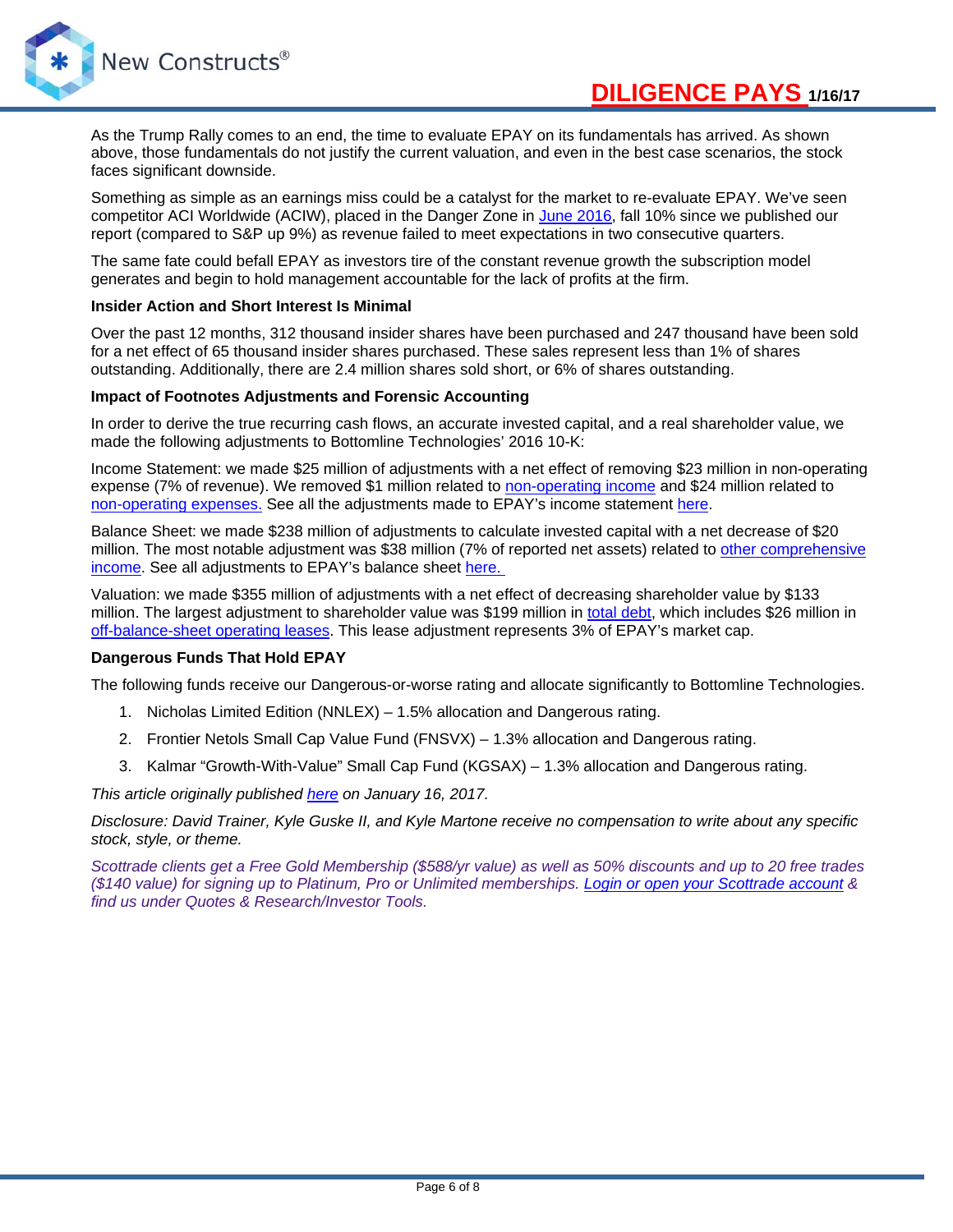

As the Trump Rally comes to an end, the time to evaluate EPAY on its fundamentals has arrived. As shown above, those fundamentals do not justify the current valuation, and even in the best case scenarios, the stock faces significant downside.

Something as simple as an earnings miss could be a catalyst for the market to re-evaluate EPAY. We've seen competitor ACI Worldwide (ACIW), placed in the Danger Zone in [June 2016,](https://www.newconstructs.com/danger-zone-aci-worldwide-aciw/) fall 10% since we published our report (compared to S&P up 9%) as revenue failed to meet expectations in two consecutive quarters.

The same fate could befall EPAY as investors tire of the constant revenue growth the subscription model generates and begin to hold management accountable for the lack of profits at the firm.

# **Insider Action and Short Interest Is Minimal**

Over the past 12 months, 312 thousand insider shares have been purchased and 247 thousand have been sold for a net effect of 65 thousand insider shares purchased. These sales represent less than 1% of shares outstanding. Additionally, there are 2.4 million shares sold short, or 6% of shares outstanding.

## **Impact of Footnotes Adjustments and Forensic Accounting**

In order to derive the true recurring cash flows, an accurate invested capital, and a real shareholder value, we made the following adjustments to Bottomline Technologies' 2016 10-K:

Income Statement: we made \$25 million of adjustments with a net effect of removing \$23 million in non-operating expense (7% of revenue). We removed \$1 million related to [non-operating income](https://www.newconstructs.com/non-operating-income-hidden-in-operating-earnings/) and \$24 million related to [non-operating expenses.](https://www.newconstructs.com/non-operating-expenses-hidden-in-operating-earnings/) See all the adjustments made to EPAY's income statement [here.](https://www.newconstructs.com/wp-content/uploads/2017/01/NewConstructs_Models_EPAY_IncomeStatementAdjustments_2017-01-16.png)

Balance Sheet: we made \$238 million of adjustments to calculate invested capital with a net decrease of \$20 million. The most notable adjustment was \$38 million (7% of reported net assets) related to [other comprehensive](https://www.newconstructs.com/accumulated-other-comprehensive-income-removed-from-invested-capital/)  [income.](https://www.newconstructs.com/accumulated-other-comprehensive-income-removed-from-invested-capital/) See all adjustments to EPAY's balance sheet [here.](https://www.newconstructs.com/wp-content/uploads/2017/01/NewConstructs_Models_EPAY_BalanceSheetAdjustments_2017-01-16.png) 

Valuation: we made \$355 million of adjustments with a net effect of decreasing shareholder value by \$133 million. The largest adjustment to shareholder value was \$199 million in [total debt,](https://www.newconstructs.com/adjusted-total-debt/) which includes \$26 million in [off-balance-sheet operating leases.](https://www.newconstructs.com/off-balance-sheet-debt/) This lease adjustment represents 3% of EPAY's market cap.

# **Dangerous Funds That Hold EPAY**

The following funds receive our Dangerous-or-worse rating and allocate significantly to Bottomline Technologies.

- 1. Nicholas Limited Edition (NNLEX) 1.5% allocation and Dangerous rating.
- 2. Frontier Netols Small Cap Value Fund (FNSVX) 1.3% allocation and Dangerous rating.
- 3. Kalmar "Growth-With-Value" Small Cap Fund (KGSAX) 1.3% allocation and Dangerous rating.

*This article originally published [here](https://www.newconstructs.com/danger-zone-bottomline-technologies-epay) on January 16, 2017.*

*Disclosure: David Trainer, Kyle Guske II, and Kyle Martone receive no compensation to write about any specific stock, style, or theme.*

*Scottrade clients get a Free Gold Membership (\$588/yr value) as well as 50% discounts and up to 20 free trades (\$140 value) for signing up to Platinum, Pro or Unlimited memberships. [Login or open your Scottrade account](https://www.scottrade.com/landingpages/7-dollar-online-trades.html?gclid=CPn2guKJ-84CFYovgQodyPoNKw&camid=PricingFY16_Search&sctr=24742&kwid=11002789717&adgrpid=1244356657&amovid=29ff5e5a70359d151a1922602021b291&s_kwcid=AL!4503!3!135420691207!b!!g!!online%20brokers%20accounts&ef_id=UkrFkAAABdjLsFXg:20160906154004) & find us under Quotes & Research/Investor Tools.*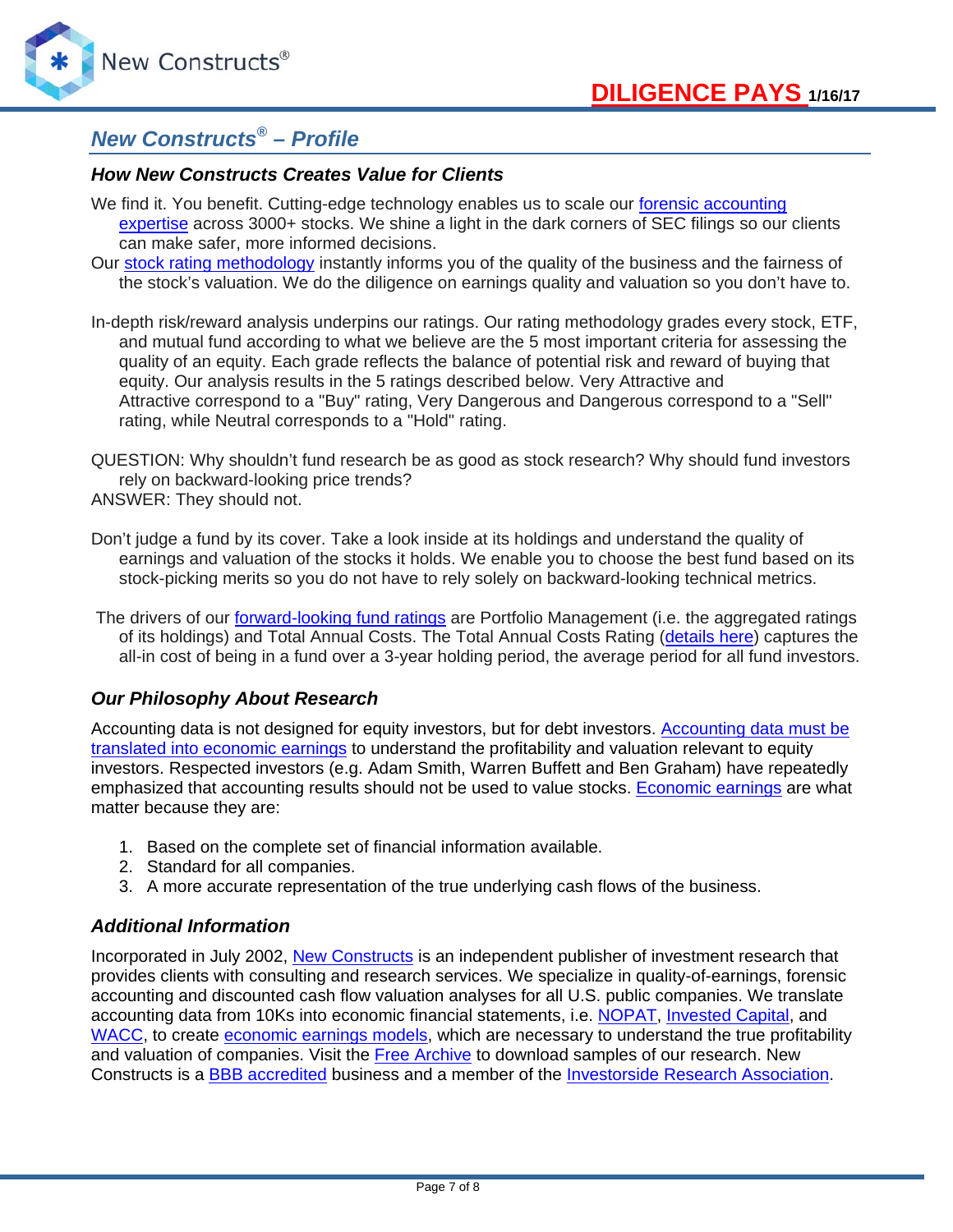

# *New Constructs® – Profile*

# *How New Constructs Creates Value for Clients*

- We find it. You benefit. Cutting-edge technology enables us to scale our forensic accounting [expertise](https://www.newconstructs.com/education/) across 3000+ stocks. We shine a light in the dark corners of SEC filings so our clients can make safer, more informed decisions.
- Our [stock rating methodology](https://www.newconstructs.com/stock-rating-methodology/) instantly informs you of the quality of the business and the fairness of the stock's valuation. We do the diligence on earnings quality and valuation so you don't have to.
- In-depth risk/reward analysis underpins our ratings. Our rating methodology grades every stock, ETF, and mutual fund according to what we believe are the 5 most important criteria for assessing the quality of an equity. Each grade reflects the balance of potential risk and reward of buying that equity. Our analysis results in the 5 ratings described below. Very Attractive and Attractive correspond to a "Buy" rating, Very Dangerous and Dangerous correspond to a "Sell" rating, while Neutral corresponds to a "Hold" rating.
- QUESTION: Why shouldn't fund research be as good as stock research? Why should fund investors rely on backward-looking price trends? ANSWER: They should not.
- Don't judge a fund by its cover. Take a look inside at its holdings and understand the quality of earnings and valuation of the stocks it holds. We enable you to choose the best fund based on its stock-picking merits so you do not have to rely solely on backward-looking technical metrics.
- The drivers of our [forward-looking fund ratings](https://www.newconstructs.com/education-etf-mutual-fund-rating/) are Portfolio Management (i.e. the aggregated ratings of its holdings) and Total Annual Costs. The Total Annual Costs Rating [\(details](https://www.newconstructs.com/education-total-annual-costs/) here) captures the all-in cost of being in a fund over a 3-year holding period, the average period for all fund investors.

# *Our Philosophy About Research*

Accounting data is not designed for equity investors, but for debt investors. [Accounting data must be](https://www.newconstructs.com/education/education-close-the-loopholes/education-economic-earnings/)  [translated into economic earnings](https://www.newconstructs.com/education/education-close-the-loopholes/education-economic-earnings/) to understand the profitability and valuation relevant to equity investors. Respected investors (e.g. Adam Smith, Warren Buffett and Ben Graham) have repeatedly emphasized that accounting results should not be used to value stocks. [Economic earnings](https://www.newconstructs.com/education/education-close-the-loopholes/education-economic-earnings/) are what matter because they are:

- 1. Based on the complete set of financial information available.
- 2. Standard for all companies.
- 3. A more accurate representation of the true underlying cash flows of the business.

# *Additional Information*

Incorporated in July 2002, [New Constructs](http://www.newconstructs.com/) is an independent publisher of investment research that provides clients with consulting and research services. We specialize in quality-of-earnings, forensic accounting and discounted cash flow valuation analyses for all U.S. public companies. We translate accounting data from 10Ks into economic financial statements, i.e. [NOPAT,](https://www.newconstructs.com/education-net-operating-profit/) [Invested Capital,](https://www.newconstructs.com/education-invested-capital/) and [WACC,](https://www.newconstructs.com/education-weighted-avg-cost-capital/) to create [economic earnings models,](https://www.newconstructs.com/gaap-opinion-versus-economic-fact/) which are necessary to understand the true profitability and valuation of companies. Visit the [Free Archive](https://www.newconstructs.com/blog/) to download samples of our research. New Constructs is a [BBB accredited](http://www.bbb.org/nashville/business-reviews/financial-services/new-constructs-in-brentwood-tn-37048565?&language=1) business and a member of the [Investorside Research Association.](http://www.investorside.org/imain?p=6)